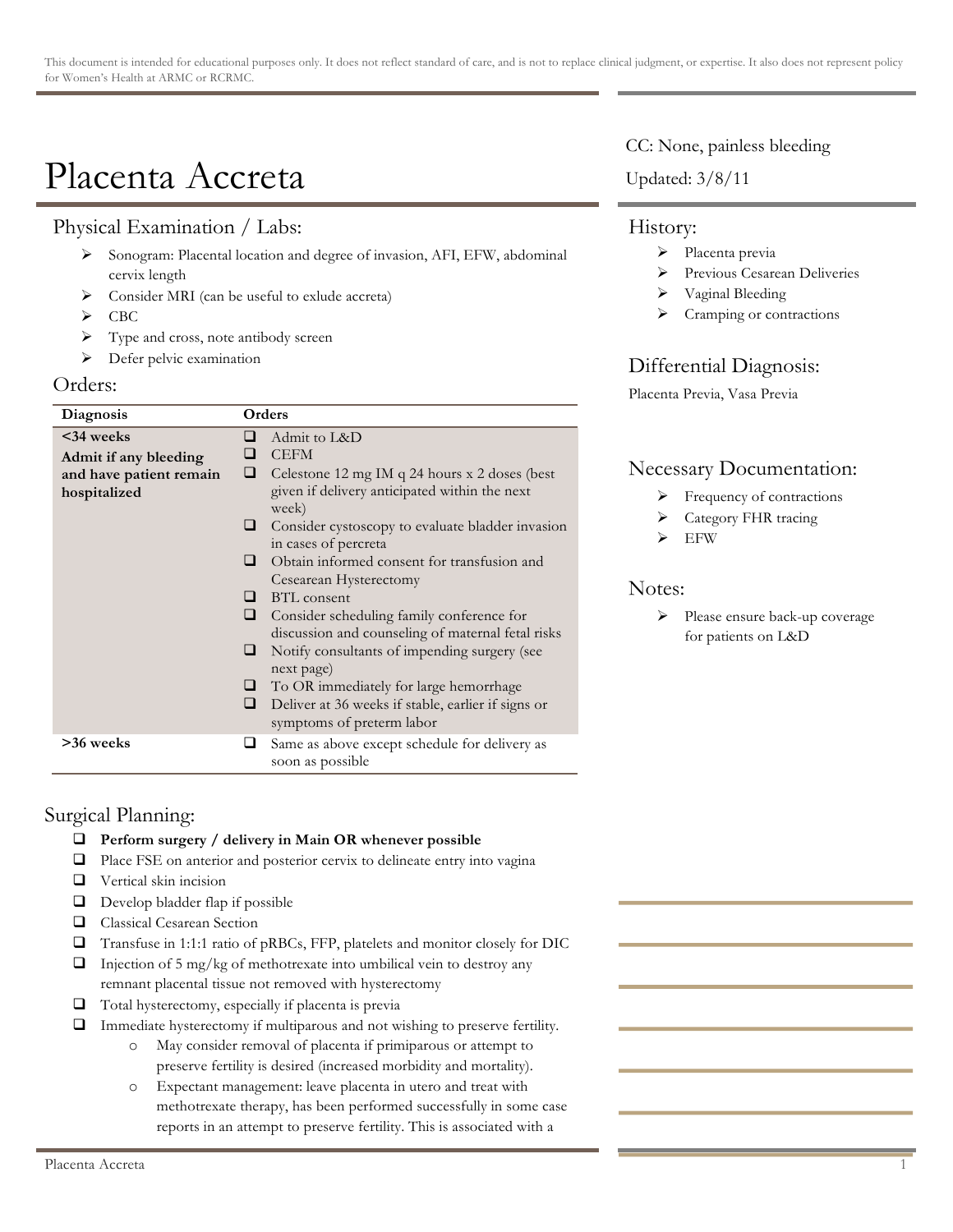# Placenta Accreta

# Physical Examination / Labs:

- > Sonogram: Placental location and degree of invasion, AFI, EFW, abdominal cervix length
- > Consider MRI (can be useful to exlude accreta)
- $\triangleright$  CBC
- $\triangleright$  Type and cross, note antibody screen
- $\triangleright$  Defer pelvic examination

#### Orders:

| Diagnosis               | Orders                                                                 |
|-------------------------|------------------------------------------------------------------------|
| $<34$ weeks             | Admit to L&D<br>⊔                                                      |
| Admit if any bleeding   | <b>CEFM</b><br>⊔                                                       |
| and have patient remain | □<br>Celestone 12 mg IM q 24 hours x 2 doses (best                     |
| hospitalized            | given if delivery anticipated within the next                          |
|                         | week)                                                                  |
|                         | Consider cystoscopy to evaluate bladder invasion<br>⊔                  |
|                         | in cases of percreta                                                   |
|                         | Obtain informed consent for transfusion and<br>ப                       |
|                         | Cesearean Hysterectomy                                                 |
|                         | <b>BTL</b> consent<br>ப                                                |
|                         | ⊔<br>Consider scheduling family conference for                         |
|                         | discussion and counseling of maternal fetal risks                      |
|                         | Notify consultants of impending surgery (see<br>ப                      |
|                         | next page)                                                             |
|                         | To OR immediately for large hemorrhage<br>⊔                            |
|                         | ❏<br>Deliver at 36 weeks if stable, earlier if signs or                |
|                         | symptoms of preterm labor                                              |
| >36 weeks               | Same as above except schedule for delivery as<br>⊔<br>soon as possible |

# Surgical Planning:

- ! **Perform surgery / delivery in Main OR whenever possible**
- ! Place FSE on anterior and posterior cervix to delineate entry into vagina
- **Q** Vertical skin incision
- $\Box$  Develop bladder flap if possible
- **Q** Classical Cesarean Section
- ! Transfuse in 1:1:1 ratio of pRBCs, FFP, platelets and monitor closely for DIC
- $\Box$  Injection of 5 mg/kg of methotrexate into umbilical vein to destroy any remnant placental tissue not removed with hysterectomy
- $\Box$  Total hysterectomy, especially if placenta is previa
- $\Box$  Immediate hysterectomy if multiparous and not wishing to preserve fertility.
	- o May consider removal of placenta if primiparous or attempt to preserve fertility is desired (increased morbidity and mortality).
	- o Expectant management: leave placenta in utero and treat with methotrexate therapy, has been performed successfully in some case reports in an attempt to preserve fertility. This is associated with a

CC: None, painless bleeding

Updated: 3/8/11

## History:

- > Placenta previa
- > Previous Cesarean Deliveries
- > Vaginal Bleeding
- Cramping or contractions

# Differential Diagnosis:

Placenta Previa, Vasa Previa

## Necessary Documentation:

- Frequency of contractions
- > Category FHR tracing
- EFW

### Notes:

> Please ensure back-up coverage for patients on L&D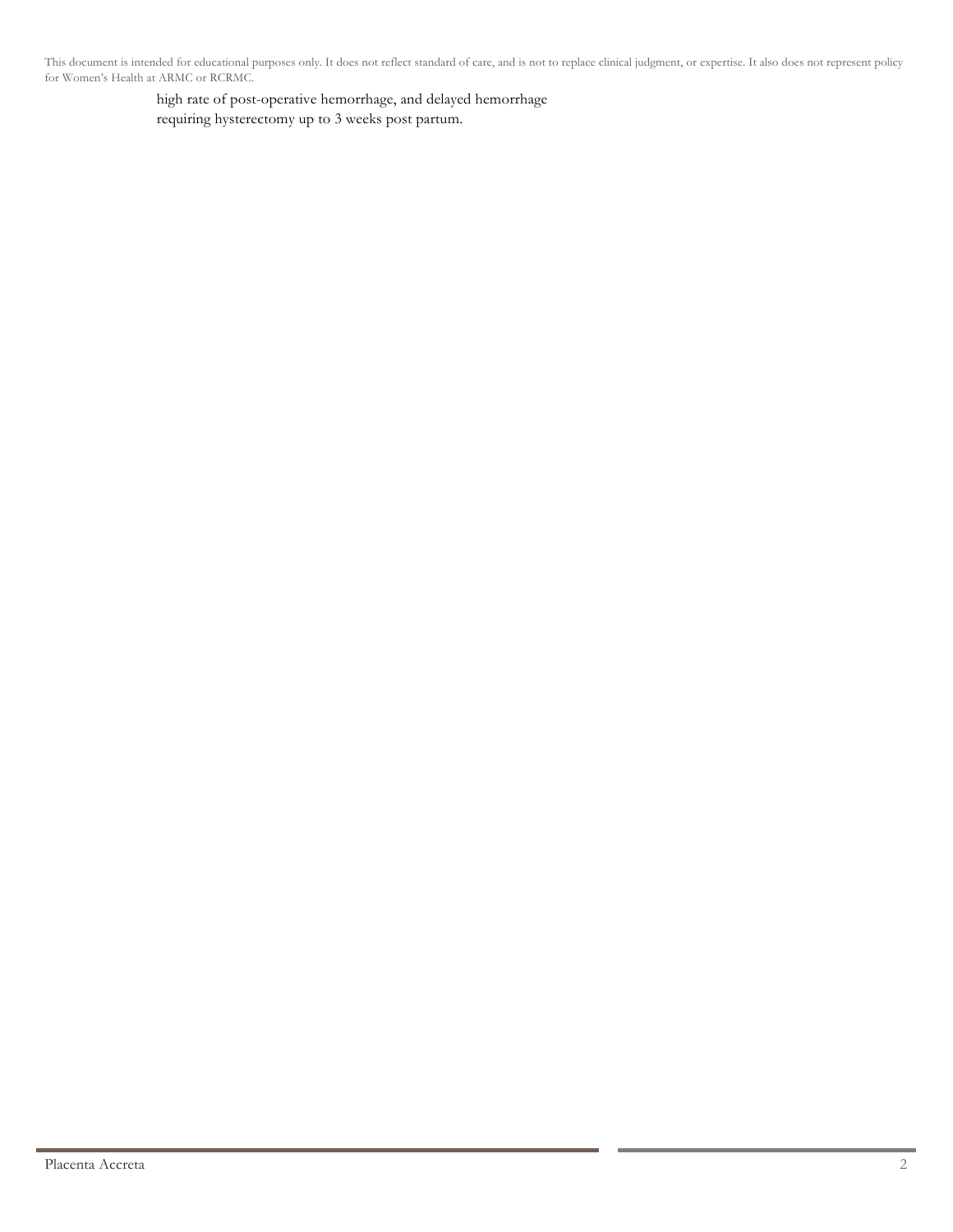This document is intended for educational purposes only. It does not reflect standard of care, and is not to replace clinical judgment, or expertise. It also does not represent policy for Women's Health at ARMC or RCRMC.

> high rate of post-operative hemorrhage, and delayed hemorrhage requiring hysterectomy up to 3 weeks post partum.